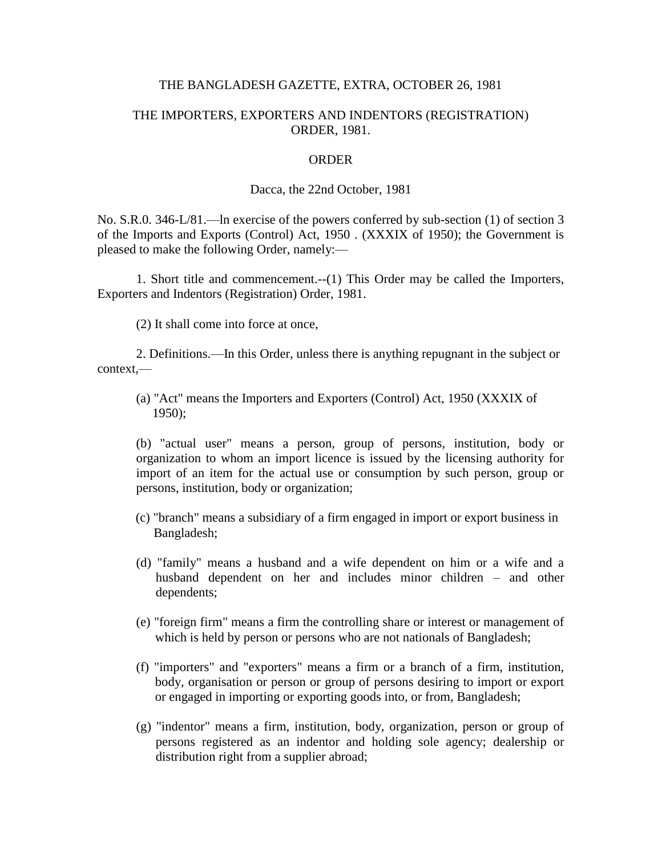## THE BANGLADESH GAZETTE, EXTRA, OCTOBER 26, 1981

## THE IMPORTERS, EXPORTERS AND INDENTORS (REGISTRATION) ORDER, 1981.

## ORDER

## Dacca, the 22nd October, 1981

No. S.R.0. 346-L/81.—ln exercise of the powers conferred by sub-section (1) of section 3 of the Imports and Exports (Control) Act, 1950 . (XXXIX of 1950); the Government is pleased to make the following Order, namely:—

1. Short title and commencement.--(1) This Order may be called the Importers, Exporters and Indentors (Registration) Order, 1981.

(2) It shall come into force at once,

2. Definitions.—In this Order, unless there is anything repugnant in the subject or context,—

(a) "Act" means the Importers and Exporters (Control) Act, 1950 (XXXIX of 1950);

(b) "actual user" means a person, group of persons, institution, body or organization to whom an import licence is issued by the licensing authority for import of an item for the actual use or consumption by such person, group or persons, institution, body or organization;

- (c) "branch" means a subsidiary of a firm engaged in import or export business in Bangladesh;
- (d) "family" means a husband and a wife dependent on him or a wife and a husband dependent on her and includes minor children – and other dependents;
- (e) "foreign firm" means a firm the controlling share or interest or management of which is held by person or persons who are not nationals of Bangladesh;
- (f) "importers" and "exporters" means a firm or a branch of a firm, institution, body, organisation or person or group of persons desiring to import or export or engaged in importing or exporting goods into, or from, Bangladesh;
- (g) "indentor" means a firm, institution, body, organization, person or group of persons registered as an indentor and holding sole agency; dealership or distribution right from a supplier abroad;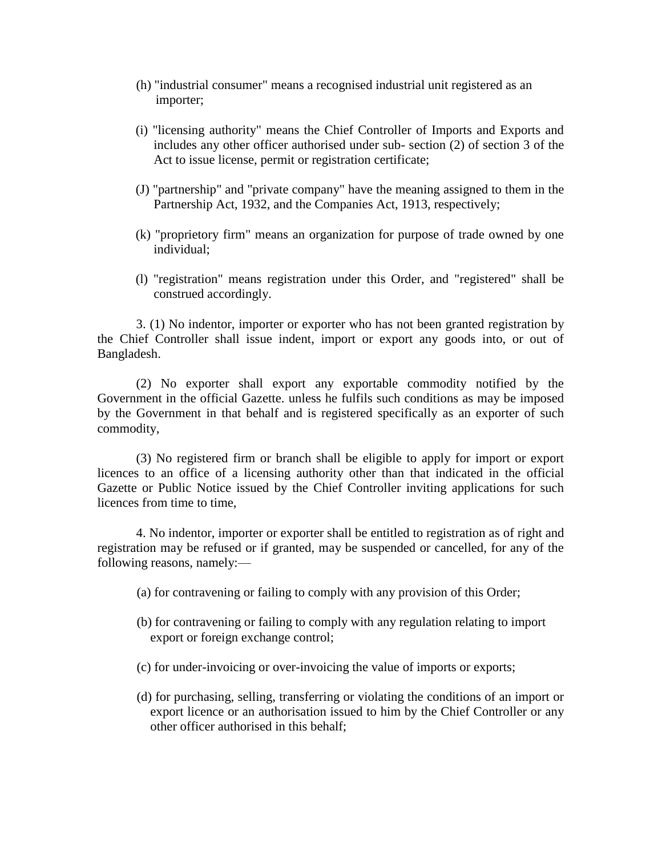- (h) "industrial consumer" means a recognised industrial unit registered as an importer;
- (i) "licensing authority" means the Chief Controller of Imports and Exports and includes any other officer authorised under sub- section (2) of section 3 of the Act to issue license, permit or registration certificate;
- (J) "partnership" and "private company" have the meaning assigned to them in the Partnership Act, 1932, and the Companies Act, 1913, respectively;
- (k) "proprietory firm" means an organization for purpose of trade owned by one individual;
- (l) "registration" means registration under this Order, and "registered" shall be construed accordingly.

3. (1) No indentor, importer or exporter who has not been granted registration by the Chief Controller shall issue indent, import or export any goods into, or out of Bangladesh.

(2) No exporter shall export any exportable commodity notified by the Government in the official Gazette. unless he fulfils such conditions as may be imposed by the Government in that behalf and is registered specifically as an exporter of such commodity,

(3) No registered firm or branch shall be eligible to apply for import or export licences to an office of a licensing authority other than that indicated in the official Gazette or Public Notice issued by the Chief Controller inviting applications for such licences from time to time,

4. No indentor, importer or exporter shall be entitled to registration as of right and registration may be refused or if granted, may be suspended or cancelled, for any of the following reasons, namely:—

- (a) for contravening or failing to comply with any provision of this Order;
- (b) for contravening or failing to comply with any regulation relating to import export or foreign exchange control;
- (c) for under-invoicing or over-invoicing the value of imports or exports;
- (d) for purchasing, selling, transferring or violating the conditions of an import or export licence or an authorisation issued to him by the Chief Controller or any other officer authorised in this behalf;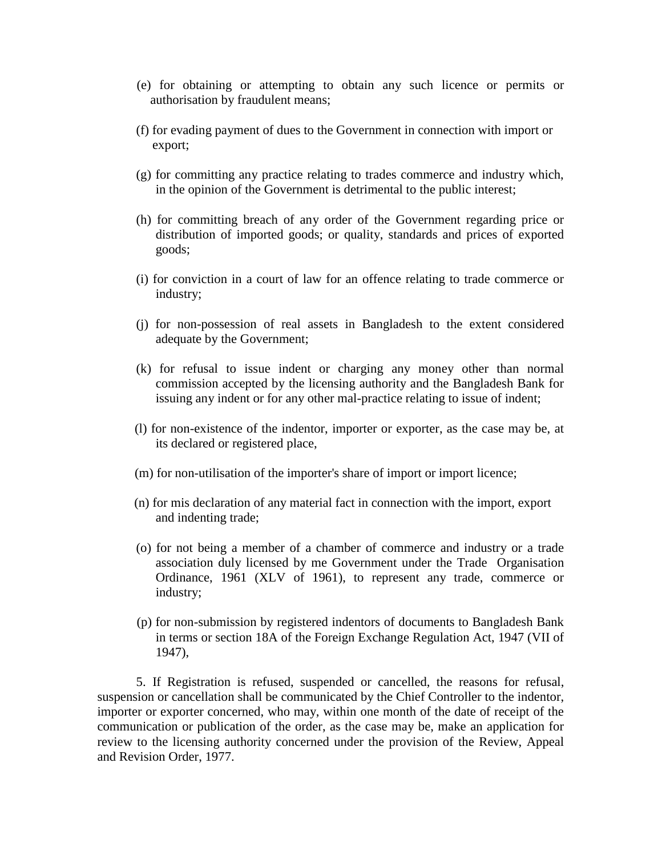- (e) for obtaining or attempting to obtain any such licence or permits or authorisation by fraudulent means;
- (f) for evading payment of dues to the Government in connection with import or export;
- (g) for committing any practice relating to trades commerce and industry which, in the opinion of the Government is detrimental to the public interest;
- (h) for committing breach of any order of the Government regarding price or distribution of imported goods; or quality, standards and prices of exported goods;
- (i) for conviction in a court of law for an offence relating to trade commerce or industry;
- (j) for non-possession of real assets in Bangladesh to the extent considered adequate by the Government;
- (k) for refusal to issue indent or charging any money other than normal commission accepted by the licensing authority and the Bangladesh Bank for issuing any indent or for any other mal-practice relating to issue of indent;
- (l) for non-existence of the indentor, importer or exporter, as the case may be, at its declared or registered place,
- (m) for non-utilisation of the importer's share of import or import licence;
- (n) for mis declaration of any material fact in connection with the import, export and indenting trade;
- (o) for not being a member of a chamber of commerce and industry or a trade association duly licensed by me Government under the Trade Organisation Ordinance, 1961 (XLV of 1961), to represent any trade, commerce or industry;
- (p) for non-submission by registered indentors of documents to Bangladesh Bank in terms or section 18A of the Foreign Exchange Regulation Act, 1947 (VII of 1947),

5. If Registration is refused, suspended or cancelled, the reasons for refusal, suspension or cancellation shall be communicated by the Chief Controller to the indentor, importer or exporter concerned, who may, within one month of the date of receipt of the communication or publication of the order, as the case may be, make an application for review to the licensing authority concerned under the provision of the Review, Appeal and Revision Order, 1977.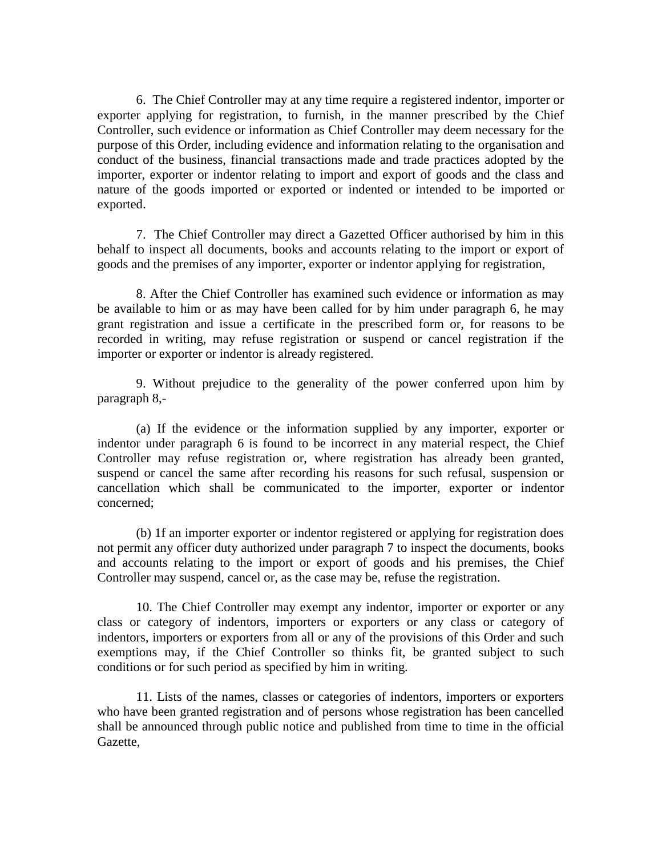6. The Chief Controller may at any time require a registered indentor, importer or exporter applying for registration, to furnish, in the manner prescribed by the Chief Controller, such evidence or information as Chief Controller may deem necessary for the purpose of this Order, including evidence and information relating to the organisation and conduct of the business, financial transactions made and trade practices adopted by the importer, exporter or indentor relating to import and export of goods and the class and nature of the goods imported or exported or indented or intended to be imported or exported.

7. The Chief Controller may direct a Gazetted Officer authorised by him in this behalf to inspect all documents, books and accounts relating to the import or export of goods and the premises of any importer, exporter or indentor applying for registration,

8. After the Chief Controller has examined such evidence or information as may be available to him or as may have been called for by him under paragraph 6, he may grant registration and issue a certificate in the prescribed form or, for reasons to be recorded in writing, may refuse registration or suspend or cancel registration if the importer or exporter or indentor is already registered.

9. Without prejudice to the generality of the power conferred upon him by paragraph 8,-

(a) If the evidence or the information supplied by any importer, exporter or indentor under paragraph 6 is found to be incorrect in any material respect, the Chief Controller may refuse registration or, where registration has already been granted, suspend or cancel the same after recording his reasons for such refusal, suspension or cancellation which shall be communicated to the importer, exporter or indentor concerned;

(b) 1f an importer exporter or indentor registered or applying for registration does not permit any officer duty authorized under paragraph 7 to inspect the documents, books and accounts relating to the import or export of goods and his premises, the Chief Controller may suspend, cancel or, as the case may be, refuse the registration.

10. The Chief Controller may exempt any indentor, importer or exporter or any class or category of indentors, importers or exporters or any class or category of indentors, importers or exporters from all or any of the provisions of this Order and such exemptions may, if the Chief Controller so thinks fit, be granted subject to such conditions or for such period as specified by him in writing.

11. Lists of the names, classes or categories of indentors, importers or exporters who have been granted registration and of persons whose registration has been cancelled shall be announced through public notice and published from time to time in the official Gazette,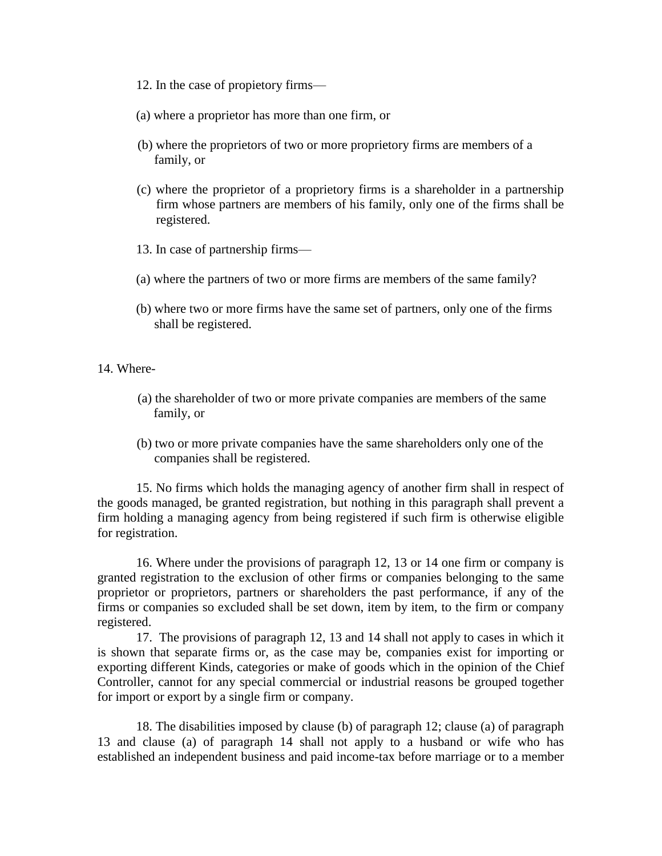- 12. In the case of propietory firms—
- (a) where a proprietor has more than one firm, or
- (b) where the proprietors of two or more proprietory firms are members of a family, or
- (c) where the proprietor of a proprietory firms is a shareholder in a partnership firm whose partners are members of his family, only one of the firms shall be registered.
- 13. In case of partnership firms—
- (a) where the partners of two or more firms are members of the same family?
- (b) where two or more firms have the same set of partners, only one of the firms shall be registered.

14. Where-

- (a) the shareholder of two or more private companies are members of the same family, or
- (b) two or more private companies have the same shareholders only one of the companies shall be registered.

15. No firms which holds the managing agency of another firm shall in respect of the goods managed, be granted registration, but nothing in this paragraph shall prevent a firm holding a managing agency from being registered if such firm is otherwise eligible for registration.

16. Where under the provisions of paragraph 12, 13 or 14 one firm or company is granted registration to the exclusion of other firms or companies belonging to the same proprietor or proprietors, partners or shareholders the past performance, if any of the firms or companies so excluded shall be set down, item by item, to the firm or company registered.

17. The provisions of paragraph 12, 13 and 14 shall not apply to cases in which it is shown that separate firms or, as the case may be, companies exist for importing or exporting different Kinds, categories or make of goods which in the opinion of the Chief Controller, cannot for any special commercial or industrial reasons be grouped together for import or export by a single firm or company.

18. The disabilities imposed by clause (b) of paragraph 12; clause (a) of paragraph 13 and clause (a) of paragraph 14 shall not apply to a husband or wife who has established an independent business and paid income-tax before marriage or to a member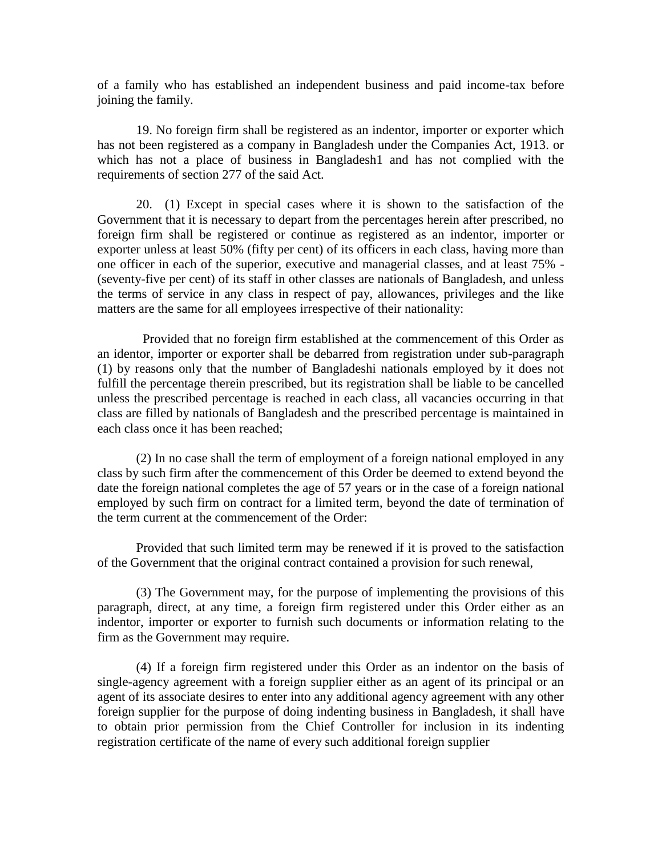of a family who has established an independent business and paid income-tax before joining the family.

19. No foreign firm shall be registered as an indentor, importer or exporter which has not been registered as a company in Bangladesh under the Companies Act, 1913. or which has not a place of business in Bangladesh1 and has not complied with the requirements of section 277 of the said Act.

20. (1) Except in special cases where it is shown to the satisfaction of the Government that it is necessary to depart from the percentages herein after prescribed, no foreign firm shall be registered or continue as registered as an indentor, importer or exporter unless at least 50% (fifty per cent) of its officers in each class, having more than one officer in each of the superior, executive and managerial classes, and at least 75% - (seventy-five per cent) of its staff in other classes are nationals of Bangladesh, and unless the terms of service in any class in respect of pay, allowances, privileges and the like matters are the same for all employees irrespective of their nationality:

 Provided that no foreign firm established at the commencement of this Order as an identor, importer or exporter shall be debarred from registration under sub-paragraph (1) by reasons only that the number of Bangladeshi nationals employed by it does not fulfill the percentage therein prescribed, but its registration shall be liable to be cancelled unless the prescribed percentage is reached in each class, all vacancies occurring in that class are filled by nationals of Bangladesh and the prescribed percentage is maintained in each class once it has been reached;

(2) In no case shall the term of employment of a foreign national employed in any class by such firm after the commencement of this Order be deemed to extend beyond the date the foreign national completes the age of 57 years or in the case of a foreign national employed by such firm on contract for a limited term, beyond the date of termination of the term current at the commencement of the Order:

Provided that such limited term may be renewed if it is proved to the satisfaction of the Government that the original contract contained a provision for such renewal,

(3) The Government may, for the purpose of implementing the provisions of this paragraph, direct, at any time, a foreign firm registered under this Order either as an indentor, importer or exporter to furnish such documents or information relating to the firm as the Government may require.

(4) If a foreign firm registered under this Order as an indentor on the basis of single-agency agreement with a foreign supplier either as an agent of its principal or an agent of its associate desires to enter into any additional agency agreement with any other foreign supplier for the purpose of doing indenting business in Bangladesh, it shall have to obtain prior permission from the Chief Controller for inclusion in its indenting registration certificate of the name of every such additional foreign supplier